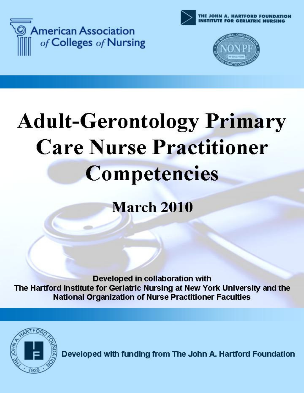





# **Adult-Gerontology Primary Care Nurse Practitioner Competencies**

**March 2010** 

Developed in collaboration with The Hartford Institute for Geriatric Nursing at New York University and the **National Organization of Nurse Practitioner Faculties** 



Developed with funding from The John A. Hartford Foundation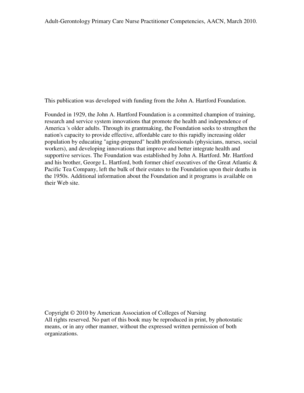This publication was developed with funding from the John A. Hartford Foundation.

Founded in 1929, the John A. Hartford Foundation is a committed champion of training, research and service system innovations that promote the health and independence of America 's older adults. Through its grantmaking, the Foundation seeks to strengthen the nation's capacity to provide effective, affordable care to this rapidly increasing older population by educating "aging-prepared" health professionals (physicians, nurses, social workers), and developing innovations that improve and better integrate health and supportive services. The Foundation was established by John A. Hartford. Mr. Hartford and his brother, George L. Hartford, both former chief executives of the Great Atlantic & Pacific Tea Company, left the bulk of their estates to the Foundation upon their deaths in the 1950s. Additional information about the Foundation and it programs is available on their Web site.

Copyright © 2010 by American Association of Colleges of Nursing All rights reserved. No part of this book may be reproduced in print, by photostatic means, or in any other manner, without the expressed written permission of both organizations.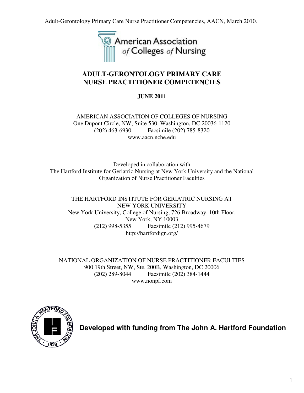Adult-Gerontology Primary Care Nurse Practitioner Competencies, AACN, March 2010.



# **ADULT-GERONTOLOGY PRIMARY CARE NURSE PRACTITIONER COMPETENCIES**

# **JUNE 2011**

AMERICAN ASSOCIATION OF COLLEGES OF NURSING One Dupont Circle, NW, Suite 530, Washington, DC 20036-1120 (202) 463-6930 Facsimile (202) 785-8320 www.aacn.nche.edu

Developed in collaboration with The Hartford Institute for Geriatric Nursing at New York University and the National Organization of Nurse Practitioner Faculties

THE HARTFORD INSTITUTE FOR GERIATRIC NURSING AT NEW YORK UNIVERSITY New York University, College of Nursing, 726 Broadway, 10th Floor, New York, NY 10003 (212) 998-5355 Facsimile (212) 995-4679 http://hartfordign.org/

NATIONAL ORGANIZATION OF NURSE PRACTITIONER FACULTIES 900 19th Street, NW, Ste. 200B, Washington, DC 20006 (202) 289-8044 Facsimile (202) 384-1444 www.nonpf.com



**Developed with funding from The John A. Hartford Foundation**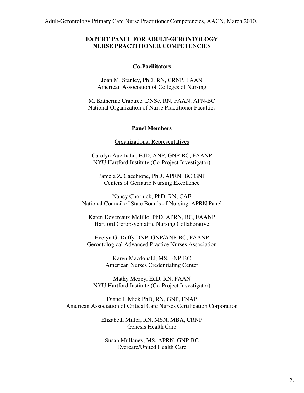## **EXPERT PANEL FOR ADULT-GERONTOLOGY NURSE PRACTITIONER COMPETENCIES**

#### **Co-Facilitators**

Joan M. Stanley, PhD, RN, CRNP, FAAN American Association of Colleges of Nursing

M. Katherine Crabtree, DNSc, RN, FAAN, APN-BC National Organization of Nurse Practitioner Faculties

### **Panel Members**

#### Organizational Representatives

Carolyn Auerhahn, EdD, ANP, GNP-BC, FAANP NYU Hartford Institute (Co-Project Investigator)

Pamela Z. Cacchione, PhD, APRN, BC GNP Centers of Geriatric Nursing Excellence

Nancy Chornick, PhD, RN, CAE National Council of State Boards of Nursing, APRN Panel

Karen Devereaux Melillo, PhD, APRN, BC, FAANP Hartford Geropsychiatric Nursing Collaborative

Evelyn G. Duffy DNP, GNP/ANP-BC, FAANP Gerontological Advanced Practice Nurses Association

> Karen Macdonald, MS, FNP-BC American Nurses Credentialing Center

Mathy Mezey, EdD, RN, FAAN NYU Hartford Institute (Co-Project Investigator)

Diane J. Mick PhD, RN, GNP, FNAP American Association of Critical Care Nurses Certification Corporation

> Elizabeth Miller, RN, MSN, MBA, CRNP Genesis Health Care

Susan Mullaney, MS, APRN, GNP-BC Evercare/United Health Care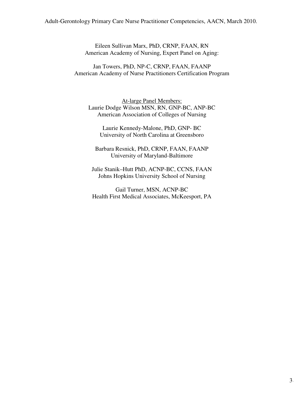### Adult-Gerontology Primary Care Nurse Practitioner Competencies, AACN, March 2010.

Eileen Sullivan Marx, PhD, CRNP, FAAN, RN American Academy of Nursing, Expert Panel on Aging:

Jan Towers, PhD, NP-C, CRNP, FAAN, FAANP American Academy of Nurse Practitioners Certification Program

At-large Panel Members: Laurie Dodge Wilson MSN, RN, GNP-BC, ANP-BC American Association of Colleges of Nursing

Laurie Kennedy-Malone, PhD, GNP- BC University of North Carolina at Greensboro

Barbara Resnick, PhD, CRNP, FAAN, FAANP University of Maryland-Baltimore

Julie Stanik–Hutt PhD, ACNP-BC, CCNS, FAAN Johns Hopkins University School of Nursing

Gail Turner, MSN, ACNP-BC Health First Medical Associates, McKeesport, PA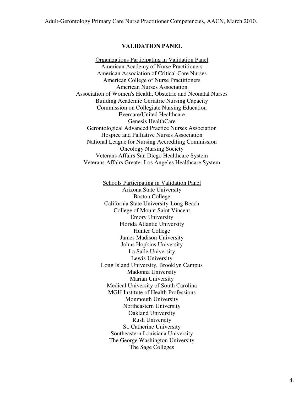#### **VALIDATION PANEL**

Organizations Participating in Validation Panel American Academy of Nurse Practitioners American Association of Critical Care Nurses American College of Nurse Practitioners American Nurses Association Association of Women's Health, Obstetric and Neonatal Nurses Building Academic Geriatric Nursing Capacity Commission on Collegiate Nursing Education Evercare/United Healthcare Genesis HealthCare Gerontological Advanced Practice Nurses Association Hospice and Palliative Nurses Association National League for Nursing Accrediting Commission Oncology Nursing Society Veterans Affairs San Diego Healthcare System Veterans Affairs Greater Los Angeles Healthcare System

> Schools Participating in Validation Panel Arizona State University Boston College California State University-Long Beach College of Mount Saint Vincent Emory University Florida Atlantic University Hunter College James Madison University Johns Hopkins University La Salle University Lewis University Long Island University, Brooklyn Campus Madonna University Marian University Medical University of South Carolina MGH Institute of Health Professions Monmouth University Northeastern University Oakland University Rush University St. Catherine University Southeastern Louisiana University The George Washington University The Sage Colleges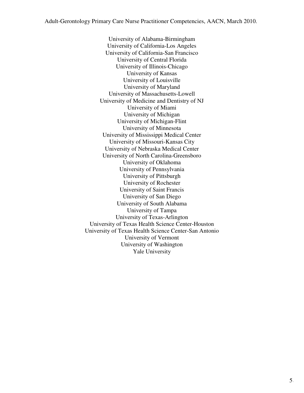University of Alabama-Birmingham University of California-Los Angeles University of California-San Francisco University of Central Florida University of Illinois-Chicago University of Kansas University of Louisville University of Maryland University of Massachusetts-Lowell University of Medicine and Dentistry of NJ University of Miami University of Michigan University of Michigan-Flint University of Minnesota University of Mississippi Medical Center University of Missouri-Kansas City University of Nebraska Medical Center University of North Carolina-Greensboro University of Oklahoma University of Pennsylvania University of Pittsburgh University of Rochester University of Saint Francis University of San Diego University of South Alabama University of Tampa University of Texas-Arlington University of Texas Health Science Center-Houston University of Texas Health Science Center-San Antonio University of Vermont University of Washington Yale University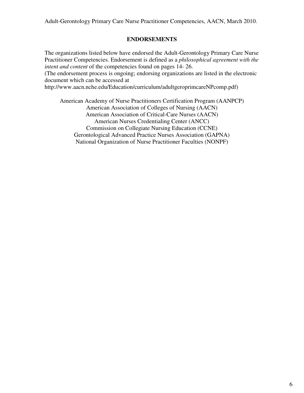# **ENDORSEMENTS**

The organizations listed below have endorsed the Adult-Gerontology Primary Care Nurse Practitioner Competencies. Endorsement is defined as a *philosophical agreement with the intent and content* of the competencies found on pages 14- 26.

(The endorsement process is ongoing; endorsing organizations are listed in the electronic document which can be accessed at

http://www.aacn.nche.edu/Education/curriculum/adultgeroprimcareNPcomp.pdf)

American Academy of Nurse Practitioners Certification Program (AANPCP) American Association of Colleges of Nursing (AACN) American Association of Critical-Care Nurses (AACN) American Nurses Credentialing Center (ANCC) Commission on Collegiate Nursing Education (CCNE) Gerontological Advanced Practice Nurses Association (GAPNA) National Organization of Nurse Practitioner Faculties (NONPF)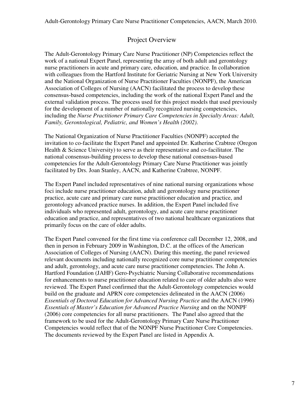# Project Overview

The Adult-Gerontology Primary Care Nurse Practitioner (NP) Competencies reflect the work of a national Expert Panel, representing the array of both adult and gerontology nurse practitioners in acute and primary care, education, and practice. In collaboration with colleagues from the Hartford Institute for Geriatric Nursing at New York University and the National Organization of Nurse Practitioner Faculties (NONPF), the American Association of Colleges of Nursing (AACN) facilitated the process to develop these consensus-based competencies, including the work of the national Expert Panel and the external validation process. The process used for this project models that used previously for the development of a number of nationally recognized nursing competencies, including the *Nurse Practitioner Primary Care Competencies in Specialty Areas: Adult, Family, Gerontological, Pediatric, and Women's Health (2002)*.

The National Organization of Nurse Practitioner Faculties (NONPF) accepted the invitation to co-facilitate the Expert Panel and appointed Dr. Katherine Crabtree (Oregon Health & Science University) to serve as their representative and co-facilitator. The national consensus-building process to develop these national consensus-based competencies for the Adult-Gerontology Primary Care Nurse Practitioner was jointly facilitated by Drs. Joan Stanley, AACN, and Katherine Crabtree, NONPF.

The Expert Panel included representatives of nine national nursing organizations whose foci include nurse practitioner education, adult and gerontology nurse practitioner practice, acute care and primary care nurse practitioner education and practice, and gerontology advanced practice nurses. In addition, the Expert Panel included five individuals who represented adult, gerontology, and acute care nurse practitioner education and practice, and representatives of two national healthcare organizations that primarily focus on the care of older adults.

The Expert Panel convened for the first time via conference call December 12, 2008, and then in person in February 2009 in Washington, D.C. at the offices of the American Association of Colleges of Nursing (AACN). During this meeting, the panel reviewed relevant documents including nationally recognized core nurse practitioner competencies and adult, gerontology, and acute care nurse practitioner competencies. The John A. Hartford Foundation (JAHF) Gero-Psychiatric Nursing Collaborative recommendations for enhancements to nurse practitioner education related to care of older adults also were reviewed. The Expert Panel confirmed that the Adult-Gerontology competencies would build on the graduate and APRN core competencies delineated in the AACN (2006) *Essentials of Doctoral Education for Advanced Nursing Practice* and the AACN (1996) *Essentials of Master's Education for Advanced Practice Nursing* and on the NONPF (2006) core competencies for all nurse practitioners. The Panel also agreed that the framework to be used for the Adult-Gerontology Primary Care Nurse Practitioner Competencies would reflect that of the NONPF Nurse Practitioner Core Competencies. The documents reviewed by the Expert Panel are listed in Appendix A.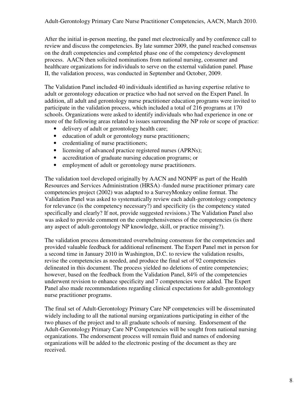After the initial in-person meeting, the panel met electronically and by conference call to review and discuss the competencies. By late summer 2009, the panel reached consensus on the draft competencies and completed phase one of the competency development process. AACN then solicited nominations from national nursing, consumer and healthcare organizations for individuals to serve on the external validation panel. Phase II, the validation process, was conducted in September and October, 2009.

The Validation Panel included 40 individuals identified as having expertise relative to adult or gerontology education or practice who had not served on the Expert Panel. In addition, all adult and gerontology nurse practitioner education programs were invited to participate in the validation process, which included a total of 216 programs at 170 schools. Organizations were asked to identify individuals who had experience in one or more of the following areas related to issues surrounding the NP role or scope of practice:

- delivery of adult or gerontology health care;
- education of adult or gerontology nurse practitioners;
- credentialing of nurse practitioners;
- licensing of advanced practice registered nurses (APRNs);
- accreditation of graduate nursing education programs; or
- employment of adult or gerontology nurse practitioners.

The validation tool developed originally by AACN and NONPF as part of the Health Resources and Services Administration (HRSA) -funded nurse practitioner primary care competencies project (2002) was adapted to a SurveyMonkey online format. The Validation Panel was asked to systematically review each adult-gerontology competency for relevance (is the competency necessary?) and specificity (is the competency stated specifically and clearly? If not, provide suggested revisions.) The Validation Panel also was asked to provide comment on the comprehensiveness of the competencies (is there any aspect of adult-gerontology NP knowledge, skill, or practice missing?).

The validation process demonstrated overwhelming consensus for the competencies and provided valuable feedback for additional refinement. The Expert Panel met in person for a second time in January 2010 in Washington, D.C. to review the validation results, revise the competencies as needed, and produce the final set of 92 competencies delineated in this document. The process yielded no deletions of entire competencies; however, based on the feedback from the Validation Panel, 84% of the competencies underwent revision to enhance specificity and 7 competencies were added. The Expert Panel also made recommendations regarding clinical expectations for adult-gerontology nurse practitioner programs.

The final set of Adult-Gerontology Primary Care NP competencies will be disseminated widely including to all the national nursing organizations participating in either of the two phases of the project and to all graduate schools of nursing. Endorsement of the Adult-Gerontology Primary Care NP Competencies will be sought from national nursing organizations. The endorsement process will remain fluid and names of endorsing organizations will be added to the electronic posting of the document as they are received.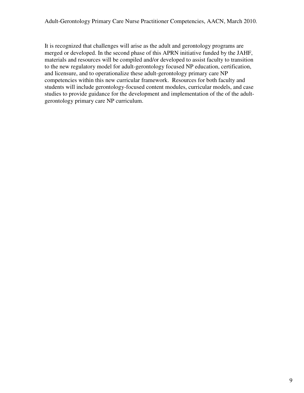It is recognized that challenges will arise as the adult and gerontology programs are merged or developed. In the second phase of this APRN initiative funded by the JAHF, materials and resources will be compiled and/or developed to assist faculty to transition to the new regulatory model for adult-gerontology focused NP education, certification, and licensure, and to operationalize these adult-gerontology primary care NP competencies within this new curricular framework. Resources for both faculty and students will include gerontology-focused content modules, curricular models, and case studies to provide guidance for the development and implementation of the of the adultgerontology primary care NP curriculum.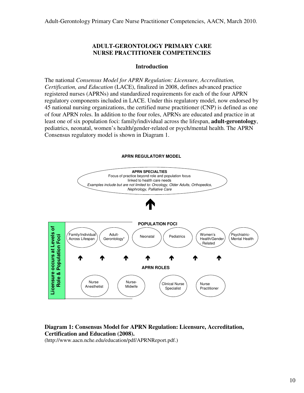## **ADULT-GERONTOLOGY PRIMARY CARE NURSE PRACTITIONER COMPETENCIES**

## **Introduction**

The national *Consensus Model for APRN Regulation: Licensure, Accreditation, Certification, and Education* (LACE), finalized in 2008, defines advanced practice registered nurses (APRNs) and standardized requirements for each of the four APRN regulatory components included in LACE. Under this regulatory model, now endorsed by 45 national nursing organizations, the certified nurse practitioner (CNP) is defined as one of four APRN roles. In addition to the four roles, APRNs are educated and practice in at least one of six population foci: family/individual across the lifespan, **adult-gerontology**, pediatrics, neonatal, women's health/gender-related or psych/mental health. The APRN Consensus regulatory model is shown in Diagram 1.

## **APRN REGULATORY MODEL**



# **Diagram 1: Consensus Model for APRN Regulation: Licensure, Accreditation, Certification and Education (2008).**

(http://www.aacn.nche.edu/education/pdf/APRNReport.pdf.)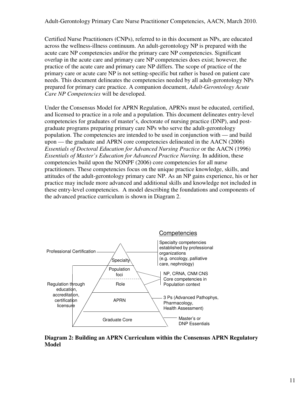Certified Nurse Practitioners (CNPs), referred to in this document as NPs, are educated across the wellness-illness continuum. An adult-gerontology NP is prepared with the acute care NP competencies and/or the primary care NP competencies. Significant overlap in the acute care and primary care NP competencies does exist; however, the practice of the acute care and primary care NP differs. The scope of practice of the primary care or acute care NP is not setting-specific but rather is based on patient care needs. This document delineates the competencies needed by all adult-gerontology NPs prepared for primary care practice. A companion document, *Adult-Gerontology Acute Care NP Competencies* will be developed.

Under the Consensus Model for APRN Regulation, APRNs must be educated, certified, and licensed to practice in a role and a population. This document delineates entry-level competencies for graduates of master's, doctorate of nursing practice (DNP), and postgraduate programs preparing primary care NPs who serve the adult-gerontology population. The competencies are intended to be used in conjunction with — and build upon — the graduate and APRN core competencies delineated in the AACN (2006) *Essentials of Doctoral Education for Advanced Nursing Practice* or the AACN (1996) *Essentials of Master's Education for Advanced Practice Nursing*. In addition, these competencies build upon the NONPF (2006) core competencies for all nurse practitioners. These competencies focus on the unique practice knowledge, skills, and attitudes of the adult-gerontology primary care NP. As an NP gains experience, his or her practice may include more advanced and additional skills and knowledge not included in these entry-level competencies. A model describing the foundations and components of the advanced practice curriculum is shown in Diagram 2.



**Diagram 2: Building an APRN Curriculum within the Consensus APRN Regulatory Model**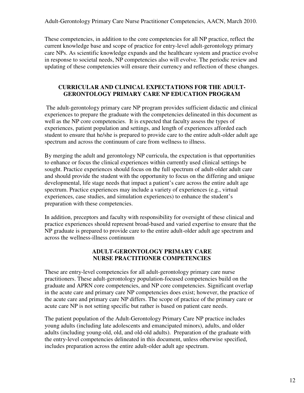Adult-Gerontology Primary Care Nurse Practitioner Competencies, AACN, March 2010.

These competencies, in addition to the core competencies for all NP practice, reflect the current knowledge base and scope of practice for entry-level adult-gerontology primary care NPs. As scientific knowledge expands and the healthcare system and practice evolve in response to societal needs, NP competencies also will evolve. The periodic review and updating of these competencies will ensure their currency and reflection of these changes.

# **CURRICULAR AND CLINICAL EXPECTATIONS FOR THE ADULT-GERONTOLOGY PRIMARY CARE NP EDUCATION PROGRAM**

 The adult-gerontology primary care NP program provides sufficient didactic and clinical experiences to prepare the graduate with the competencies delineated in this document as well as the NP core competencies. It is expected that faculty assess the types of experiences, patient population and settings, and length of experiences afforded each student to ensure that he/she is prepared to provide care to the entire adult-older adult age spectrum and across the continuum of care from wellness to illness.

By merging the adult and gerontology NP curricula, the expectation is that opportunities to enhance or focus the clinical experiences within currently used clinical settings be sought. Practice experiences should focus on the full spectrum of adult-older adult care and should provide the student with the opportunity to focus on the differing and unique developmental, life stage needs that impact a patient's care across the entire adult age spectrum. Practice experiences may include a variety of experiences (e.g., virtual experiences, case studies, and simulation experiences) to enhance the student's preparation with these competencies.

In addition, preceptors and faculty with responsibility for oversight of these clinical and practice experiences should represent broad-based and varied expertise to ensure that the NP graduate is prepared to provide care to the entire adult-older adult age spectrum and across the wellness-illness continuum

# **ADULT-GERONTOLOGY PRIMARY CARE NURSE PRACTITIONER COMPETENCIES**

These are entry-level competencies for all adult-gerontology primary care nurse practitioners. These adult-gerontology population-focused competencies build on the graduate and APRN core competencies, and NP core competencies. Significant overlap in the acute care and primary care NP competencies does exist; however, the practice of the acute care and primary care NP differs. The scope of practice of the primary care or acute care NP is not setting specific but rather is based on patient care needs.

The patient population of the Adult-Gerontology Primary Care NP practice includes young adults (including late adolescents and emancipated minors), adults, and older adults (including young-old, old, and old-old adults). Preparation of the graduate with the entry-level competencies delineated in this document, unless otherwise specified, includes preparation across the entire adult-older adult age spectrum.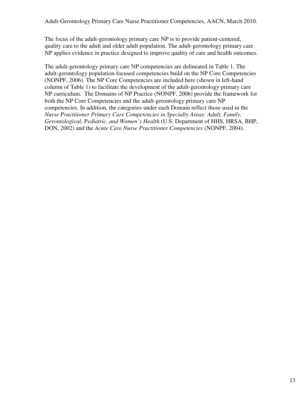The focus of the adult-gerontology primary care NP is to provide patient-centered, quality care to the adult and older adult population. The adult-gerontology primary care NP applies evidence in practice designed to improve quality of care and health outcomes.

The adult-gerontology primary care NP competencies are delineated in Table 1. The adult-gerontology population-focused competencies build on the NP Core Competencies (NONPF, 2006). The NP Core Competencies are included here (shown in left-hand column of Table 1) to facilitate the development of the adult-gerontology primary care NP curriculum. The Domains of NP Practice (NONPF, 2006) provide the framework for both the NP Core Competencies and the adult-gerontology primary care NP competencies. In addition, the categories under each Domain reflect those used in the *Nurse Practitioner Primary Care Competencies in Specialty Areas: Adult, Family, Gerontological, Pediatric, and Women's Health* (U.S. Department of HHS, HRSA, BHP, DON, 2002) and the *Acute Care Nurse Practitioner Competencies* (NONPF, 2004).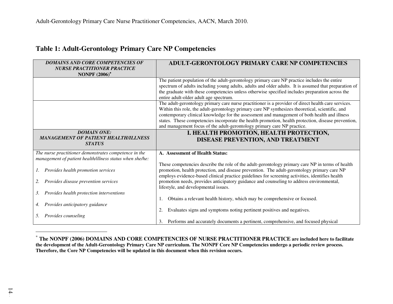# **Table 1: Adult-Gerontology Primary Care NP Competencies**

| <b>DOMAINS AND CORE COMPETENCIES OF</b><br><b>NURSE PRACTITIONER PRACTICE</b> | <b>ADULT-GERONTOLOGY PRIMARY CARE NP COMPETENCIES</b>                                                                                                                                                 |
|-------------------------------------------------------------------------------|-------------------------------------------------------------------------------------------------------------------------------------------------------------------------------------------------------|
| <b>NONPF</b> (2006) <sup>*</sup>                                              |                                                                                                                                                                                                       |
|                                                                               | The patient population of the adult-gerontology primary care NP practice includes the entire<br>spectrum of adults including young adults, adults and older adults. It is assumed that preparation of |
|                                                                               | the graduate with these competencies unless otherwise specified includes preparation across the                                                                                                       |
|                                                                               | entire adult-older adult age spectrum.                                                                                                                                                                |
|                                                                               | The adult-gerontology primary care nurse practitioner is a provider of direct health care services.                                                                                                   |
|                                                                               | Within this role, the adult-gerontology primary care NP synthesizes theoretical, scientific, and                                                                                                      |
|                                                                               | contemporary clinical knowledge for the assessment and management of both health and illness                                                                                                          |
|                                                                               | states. These competencies incorporate the health promotion, health protection, disease prevention,<br>and management focus of the adult-gerontology primary care NP practice.                        |
|                                                                               |                                                                                                                                                                                                       |
| <b>DOMAIN ONE:</b><br><b>MANAGEMENT OF PATIENT HEALTH/ILLNESS</b>             | I. HEALTH PROMOTION, HEALTH PROTECTION,                                                                                                                                                               |
| <b>STATUS</b>                                                                 | DISEASE PREVENTION, AND TREATMENT                                                                                                                                                                     |
| The nurse practitioner demonstrates competence in the                         | A. Assessment of Health Status:                                                                                                                                                                       |
| management of patient health/illness status when she/he:                      |                                                                                                                                                                                                       |
|                                                                               | These competencies describe the role of the adult-gerontology primary care NP in terms of health                                                                                                      |
| Provides health promotion services                                            | promotion, health protection, and disease prevention. The adult-gerontology primary care NP<br>employs evidence-based clinical practice guidelines for screening activities, identifies health        |
| Provides disease prevention services<br>2.                                    | promotion needs, provides anticipatory guidance and counseling to address environmental,                                                                                                              |
|                                                                               | lifestyle, and developmental issues.                                                                                                                                                                  |
| Provides health protection interventions<br>3.                                |                                                                                                                                                                                                       |
|                                                                               | Obtains a relevant health history, which may be comprehensive or focused.                                                                                                                             |
| Provides anticipatory guidance                                                |                                                                                                                                                                                                       |
| 5.                                                                            | Evaluates signs and symptoms noting pertinent positives and negatives.<br>2.                                                                                                                          |
| Provides counseling                                                           | Performs and accurately documents a pertinent, comprehensive, and focused physical                                                                                                                    |

<sup>∗</sup> **The NONPF (2006) DOMAINS AND CORE COMPETENCIES OF NURSE PRACTITIONER PRACTICE are included here to facilitate the development of the Adult-Gerontology Primary Care NP curriculum. The NONPF Core NP Competencies undergo a periodic review process. Therefore, the Core NP Competencies will be updated in this document when this revision occurs.**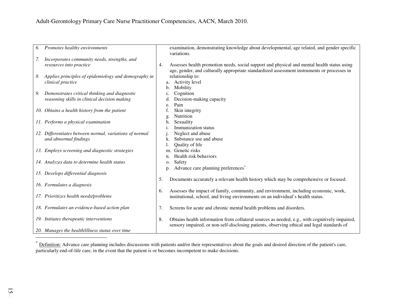| Promotes healthy environments<br>6.                        | examination, demonstrating knowledge about developmental, age related, and gender specific           |
|------------------------------------------------------------|------------------------------------------------------------------------------------------------------|
|                                                            |                                                                                                      |
|                                                            | variations.                                                                                          |
| Incorporates community needs, strengths, and<br>7.         |                                                                                                      |
| resources into practice                                    | Assesses health promotion needs, social support and physical and mental health status using<br>4.    |
|                                                            | age, gender, and culturally appropriate standardized assessment instruments or processes in          |
| Applies principles of epidemiology and demography in<br>8. | relationship to:                                                                                     |
| clinical practice                                          | Activity level<br>a.                                                                                 |
|                                                            | Mobility<br>b.                                                                                       |
| Demonstrates critical thinking and diagnostic<br>9.        | Cognition<br>c.                                                                                      |
| reasoning skills in clinical decision making               | Decision-making capacity                                                                             |
|                                                            | Pain<br>e.                                                                                           |
| 10. Obtains a health history from the patient              | Skin integrity                                                                                       |
|                                                            | Nutrition<br>g.                                                                                      |
| 11. Performs a physical examination                        | Sexuality<br>h.                                                                                      |
|                                                            | Immunization status                                                                                  |
|                                                            |                                                                                                      |
| 12. Differentiates between normal, variations of normal    | Neglect and abuse                                                                                    |
| and abnormal findings                                      | Substance use and abuse<br>k.                                                                        |
|                                                            | Quality of life                                                                                      |
| 13. Employs screening and diagnostic strategies            | Genetic risks<br>m.                                                                                  |
|                                                            | Health risk behaviors<br>n.                                                                          |
| 14. Analyzes data to determine health status               | Safety<br>0.                                                                                         |
|                                                            | Advance care planning preferences <sup>*</sup><br>p.                                                 |
| 15. Develops differential diagnosis                        |                                                                                                      |
|                                                            | Documents accurately a relevant health history which may be comprehensive or focused.<br>5.          |
| 16. Formulates a diagnosis                                 |                                                                                                      |
|                                                            | Assesses the impact of family, community, and environment, including economic, work,<br>6.           |
| 17. Prioritizes health needs/problems                      | institutional, school, and living environments on an individual's health status.                     |
|                                                            |                                                                                                      |
| 18. Formulates an evidence-based action plan               | 7.<br>Screens for acute and chronic mental health problems and disorders.                            |
|                                                            |                                                                                                      |
| 19. Initiates therapeutic interventions                    | 8.<br>Obtains health information from collateral sources as needed, e.g., with cognitively impaired, |
|                                                            | sensory impaired, or non-self-disclosing patients, observing ethical and legal standards of          |
|                                                            |                                                                                                      |
| 20. Manages the health/illness status over time            |                                                                                                      |

<sup>\*</sup> Definition: Advance care planning includes discussions with patients and/or their representatives about the goals and desired direction of the patient's care, particularly end-of-life care, in the event that the patient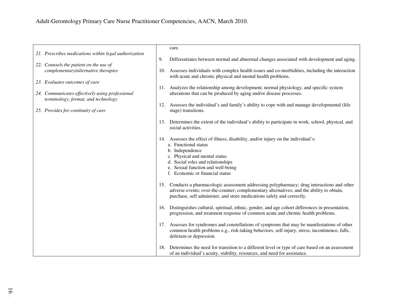| 21. Prescribes medications within legal authorization                                  | care.                                                                                                                                                            |
|----------------------------------------------------------------------------------------|------------------------------------------------------------------------------------------------------------------------------------------------------------------|
|                                                                                        | 9.<br>Differentiates between normal and abnormal changes associated with development and aging.                                                                  |
| 22. Counsels the patient on the use of                                                 |                                                                                                                                                                  |
| complementary/alternative therapies                                                    | 10. Assesses individuals with complex health issues and co-morbidities, including the interaction<br>with acute and chronic physical and mental health problems. |
| 23. Evaluates outcomes of care                                                         |                                                                                                                                                                  |
|                                                                                        | 11. Analyzes the relationship among development, normal physiology, and specific system                                                                          |
| 24. Communicates effectively using professional<br>terminology, format, and technology | alterations that can be produced by aging and/or disease processes.                                                                                              |
|                                                                                        | 12. Assesses the individual's and family's ability to cope with and manage developmental (life                                                                   |
| 25. Provides for continuity of care                                                    | stage) transitions.                                                                                                                                              |
|                                                                                        | 13. Determines the extent of the individual's ability to participate in work, school, physical, and                                                              |
|                                                                                        | social activities.                                                                                                                                               |
|                                                                                        |                                                                                                                                                                  |
|                                                                                        | 14. Assesses the effect of illness, disability, and/or injury on the individual's:<br>a. Functional status                                                       |
|                                                                                        | b. Independence                                                                                                                                                  |
|                                                                                        | c. Physical and mental status<br>d. Social roles and relationships                                                                                               |
|                                                                                        | e. Sexual function and well-being                                                                                                                                |
|                                                                                        | f. Economic or financial status                                                                                                                                  |
|                                                                                        | 15. Conducts a pharmacologic assessment addressing polypharmacy; drug interactions and other                                                                     |
|                                                                                        | adverse events; over-the-counter; complementary alternatives; and the ability to obtain,                                                                         |
|                                                                                        | purchase, self administer, and store medications safely and correctly.                                                                                           |
|                                                                                        | 16. Distinguishes cultural, spiritual, ethnic, gender, and age cohort differences in presentation,                                                               |
|                                                                                        | progression, and treatment response of common acute and chronic health problems.                                                                                 |
|                                                                                        | 17. Assesses for syndromes and constellations of symptoms that may be manifestations of other                                                                    |
|                                                                                        | common health problems e.g., risk-taking behaviors, self-injury, stress, incontinence, falls,                                                                    |
|                                                                                        | delirium or depression.                                                                                                                                          |
|                                                                                        | 18. Determines the need for transition to a different level or type of care based on an assessment                                                               |
|                                                                                        | of an individual's acuity, stability, resources, and need for assistance.                                                                                        |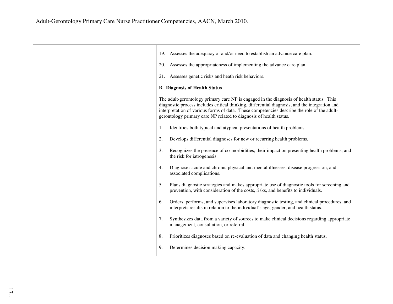| 19. Assesses the adequacy of and/or need to establish an advance care plan.                                                                                                                                                                                                                                                                                     |
|-----------------------------------------------------------------------------------------------------------------------------------------------------------------------------------------------------------------------------------------------------------------------------------------------------------------------------------------------------------------|
| 20. Assesses the appropriateness of implementing the advance care plan.                                                                                                                                                                                                                                                                                         |
| 21. Assesses genetic risks and heath risk behaviors.                                                                                                                                                                                                                                                                                                            |
| <b>B.</b> Diagnosis of Health Status                                                                                                                                                                                                                                                                                                                            |
| The adult-gerontology primary care NP is engaged in the diagnosis of health status. This<br>diagnostic process includes critical thinking, differential diagnosis, and the integration and<br>interpretation of various forms of data. These competencies describe the role of the adult-<br>gerontology primary care NP related to diagnosis of health status. |
| Identifies both typical and atypical presentations of health problems.<br>1.                                                                                                                                                                                                                                                                                    |
| 2.<br>Develops differential diagnoses for new or recurring health problems.                                                                                                                                                                                                                                                                                     |
| 3.<br>Recognizes the presence of co-morbidities, their impact on presenting health problems, and<br>the risk for iatrogenesis.                                                                                                                                                                                                                                  |
| Diagnoses acute and chronic physical and mental illnesses, disease progression, and<br>4.<br>associated complications.                                                                                                                                                                                                                                          |
| 5.<br>Plans diagnostic strategies and makes appropriate use of diagnostic tools for screening and<br>prevention, with consideration of the costs, risks, and benefits to individuals.                                                                                                                                                                           |
| Orders, performs, and supervises laboratory diagnostic testing, and clinical procedures, and<br>6.<br>interprets results in relation to the individual's age, gender, and health status.                                                                                                                                                                        |
| 7.<br>Synthesizes data from a variety of sources to make clinical decisions regarding appropriate<br>management, consultation, or referral.                                                                                                                                                                                                                     |
| 8.<br>Prioritizes diagnoses based on re-evaluation of data and changing health status.                                                                                                                                                                                                                                                                          |
| Determines decision making capacity.<br>9.                                                                                                                                                                                                                                                                                                                      |
|                                                                                                                                                                                                                                                                                                                                                                 |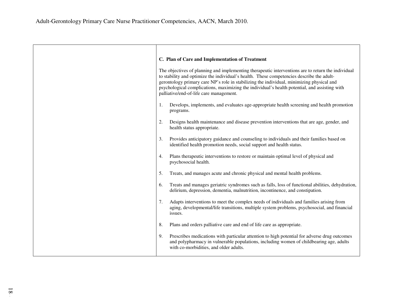| C. Plan of Care and Implementation of Treatment                                                                                                                                                                                                                                                                                                                                                                                          |
|------------------------------------------------------------------------------------------------------------------------------------------------------------------------------------------------------------------------------------------------------------------------------------------------------------------------------------------------------------------------------------------------------------------------------------------|
| The objectives of planning and implementing therapeutic interventions are to return the individual<br>to stability and optimize the individual's health. These competencies describe the adult-<br>gerontology primary care NP's role in stabilizing the individual, minimizing physical and<br>psychological complications, maximizing the individual's health potential, and assisting with<br>palliative/end-of-life care management. |
| Develops, implements, and evaluates age-appropriate health screening and health promotion<br>1.<br>programs.                                                                                                                                                                                                                                                                                                                             |
| 2.<br>Designs health maintenance and disease prevention interventions that are age, gender, and<br>health status appropriate.                                                                                                                                                                                                                                                                                                            |
| 3.<br>Provides anticipatory guidance and counseling to individuals and their families based on<br>identified health promotion needs, social support and health status.                                                                                                                                                                                                                                                                   |
| Plans therapeutic interventions to restore or maintain optimal level of physical and<br>4.<br>psychosocial health.                                                                                                                                                                                                                                                                                                                       |
| 5.<br>Treats, and manages acute and chronic physical and mental health problems.                                                                                                                                                                                                                                                                                                                                                         |
| Treats and manages geriatric syndromes such as falls, loss of functional abilities, dehydration,<br>6.<br>delirium, depression, dementia, malnutrition, incontinence, and constipation.                                                                                                                                                                                                                                                  |
| 7.<br>Adapts interventions to meet the complex needs of individuals and families arising from<br>aging, developmental/life transitions, multiple system problems, psychosocial, and financial<br>issues.                                                                                                                                                                                                                                 |
| 8.<br>Plans and orders palliative care and end of life care as appropriate.                                                                                                                                                                                                                                                                                                                                                              |
| 9.<br>Prescribes medications with particular attention to high potential for adverse drug outcomes<br>and polypharmacy in vulnerable populations, including women of childbearing age, adults<br>with co-morbidities, and older adults.                                                                                                                                                                                                  |
|                                                                                                                                                                                                                                                                                                                                                                                                                                          |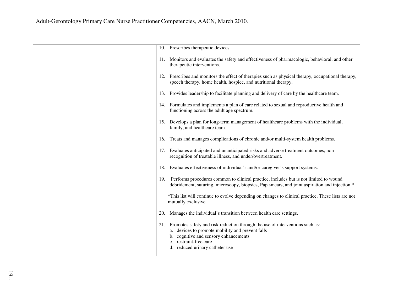|     | 10. Prescribes therapeutic devices.                                                                                                                                                                                                                |
|-----|----------------------------------------------------------------------------------------------------------------------------------------------------------------------------------------------------------------------------------------------------|
|     | 11. Monitors and evaluates the safety and effectiveness of pharmacologic, behavioral, and other<br>therapeutic interventions.                                                                                                                      |
| 12. | Prescribes and monitors the effect of therapies such as physical therapy, occupational therapy,<br>speech therapy, home health, hospice, and nutritional therapy.                                                                                  |
| 13. | Provides leadership to facilitate planning and delivery of care by the healthcare team.                                                                                                                                                            |
|     | 14. Formulates and implements a plan of care related to sexual and reproductive health and<br>functioning across the adult age spectrum.                                                                                                           |
| 15. | Develops a plan for long-term management of healthcare problems with the individual,<br>family, and healthcare team.                                                                                                                               |
| 16. | Treats and manages complications of chronic and/or multi-system health problems.                                                                                                                                                                   |
| 17. | Evaluates anticipated and unanticipated risks and adverse treatment outcomes, non<br>recognition of treatable illness, and under/overtreatment.                                                                                                    |
| 18. | Evaluates effectiveness of individual's and/or caregiver's support systems.                                                                                                                                                                        |
| 19. | Performs procedures common to clinical practice, includes but is not limited to wound<br>debridement, suturing, microscopy, biopsies, Pap smears, and joint aspiration and injection.*                                                             |
|     | *This list will continue to evolve depending on changes to clinical practice. These lists are not<br>mutually exclusive.                                                                                                                           |
| 20. | Manages the individual's transition between health care settings.                                                                                                                                                                                  |
| 21. | Promotes safety and risk reduction through the use of interventions such as:<br>a. devices to promote mobility and prevent falls<br>b. cognitive and sensory enhancements<br>restraint-free care<br>$c_{\cdot}$<br>d. reduced urinary catheter use |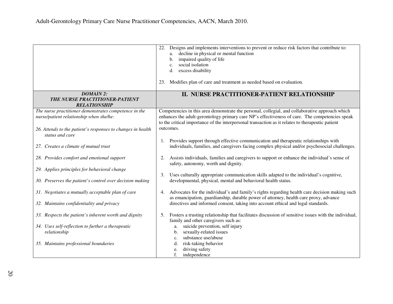|                                                                                                                                                                                    | Designs and implements interventions to prevent or reduce risk factors that contribute to:<br>22.<br>decline in physical or mental function<br>a.<br>impaired quality of life<br>b.<br>social isolation<br>c.<br>excess disability<br>d.<br>23. Modifies plan of care and treatment as needed based on evaluation. |
|------------------------------------------------------------------------------------------------------------------------------------------------------------------------------------|--------------------------------------------------------------------------------------------------------------------------------------------------------------------------------------------------------------------------------------------------------------------------------------------------------------------|
| <b>DOMAIN 2:</b><br>THE NURSE PRACTITIONER-PATIENT<br><b>RELATIONSHIP</b>                                                                                                          | II. NURSE PRACTITIONER-PATIENT RELATIONSHIP                                                                                                                                                                                                                                                                        |
| The nurse practitioner demonstrates competence in the<br>nurse/patient relationship when she/he:<br>26. Attends to the patient's responses to changes in health<br>status and care | Competencies in this area demonstrate the personal, collegial, and collaborative approach which<br>enhances the adult-gerontology primary care NP's effectiveness of care. The competencies speak<br>to the critical importance of the interpersonal transaction as it relates to therapeutic patient<br>outcomes. |
| 27. Creates a climate of mutual trust                                                                                                                                              | Provides support through effective communication and therapeutic relationships with<br>individuals, families, and caregivers facing complex physical and/or psychosocial challenges.                                                                                                                               |
| 28. Provides comfort and emotional support                                                                                                                                         | Assists individuals, families and caregivers to support or enhance the individual's sense of<br>2.<br>safety, autonomy, worth and dignity.                                                                                                                                                                         |
| 29. Applies principles for behavioral change<br>30. Preserves the patient's control over decision making                                                                           | Uses culturally appropriate communication skills adapted to the individual's cognitive,<br>3.<br>developmental, physical, mental and behavioral health status.                                                                                                                                                     |
| 31. Negotiates a mutually acceptable plan of care                                                                                                                                  | Advocates for the individual's and family's rights regarding health care decision making such<br>4.<br>as emancipation, guardianship, durable power of attorney, health care proxy, advance                                                                                                                        |
| 32. Maintains confidentiality and privacy<br>33. Respects the patient's inherent worth and dignity                                                                                 | directives and informed consent, taking into account ethical and legal standards.<br>Fosters a trusting relationship that facilitates discussion of sensitive issues with the individual,<br>5.                                                                                                                    |
| 34. Uses self-reflection to further a therapeutic<br>relationship                                                                                                                  | family and other caregivers such as:<br>suicide prevention, self injury<br>a.<br>sexually-related issues<br>b.<br>substance use/abuse<br>c.                                                                                                                                                                        |
| 35. Maintains professional boundaries                                                                                                                                              | risk-taking behavior<br>d.<br>driving safety<br>e.<br>f.<br>independence                                                                                                                                                                                                                                           |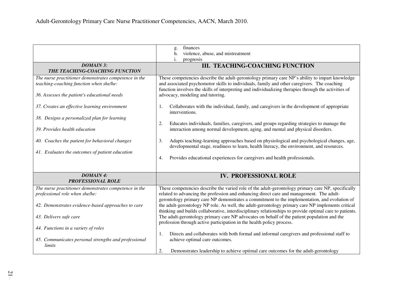|                                                       | finances<br>g.                                                                                          |
|-------------------------------------------------------|---------------------------------------------------------------------------------------------------------|
|                                                       | violence, abuse, and mistreatment<br>h.                                                                 |
|                                                       | i.<br>prognosis                                                                                         |
| <b>DOMAIN 3:</b>                                      |                                                                                                         |
| THE TEACHING-COACHING FUNCTION                        | <b>III. TEACHING-COACHING FUNCTION</b>                                                                  |
|                                                       |                                                                                                         |
| The nurse practitioner demonstrates competence in the | These competencies describe the adult-gerontology primary care NP's ability to impart knowledge         |
| teaching-coaching function when she/he:               | and associated psychomotor skills to individuals, family and other caregivers. The coaching             |
|                                                       | function involves the skills of interpreting and individualizing therapies through the activities of    |
| 36. Assesses the patient's educational needs          | advocacy, modeling and tutoring.                                                                        |
|                                                       |                                                                                                         |
| 37. Creates an effective learning environment         | Collaborates with the individual, family, and caregivers in the development of appropriate<br>1.        |
|                                                       | interventions.                                                                                          |
| 38. Designs a personalized plan for learning          |                                                                                                         |
|                                                       | Educates individuals, families, caregivers, and groups regarding strategies to manage the<br>2.         |
| 39. Provides health education                         | interaction among normal development, aging, and mental and physical disorders.                         |
|                                                       |                                                                                                         |
| 40. Coaches the patient for behavioral changes        | Adapts teaching-learning approaches based on physiological and psychological changes, age,<br>3.        |
|                                                       | developmental stage, readiness to learn, health literacy, the environment, and resources.               |
| 41. Evaluates the outcomes of patient education       |                                                                                                         |
|                                                       | Provides educational experiences for caregivers and health professionals.<br>4.                         |
|                                                       |                                                                                                         |
|                                                       |                                                                                                         |
| <b>DOMAIN 4:</b>                                      | <b>IV. PROFESSIONAL ROLE</b>                                                                            |
| <b>PROFESSIONAL ROLE</b>                              |                                                                                                         |
| The nurse practitioner demonstrates competence in the | These competencies describe the varied role of the adult-gerontology primary care NP, specifically      |
| professional role when she/he:                        | related to advancing the profession and enhancing direct care and management. The adult-                |
|                                                       | gerontology primary care NP demonstrates a commitment to the implementation, and evolution of           |
| 42. Demonstrates evidence-based approaches to care    | the adult-gerontology NP role. As well, the adult-gerontology primary care NP implements critical       |
|                                                       | thinking and builds collaborative, interdisciplinary relationships to provide optimal care to patients. |
|                                                       |                                                                                                         |
| 43. Delivers safe care                                | The adult-gerontology primary care NP advocates on behalf of the patient population and the             |
|                                                       | profession through active participation in the health policy process.                                   |
| 44. Functions in a variety of roles                   |                                                                                                         |
|                                                       | Directs and collaborates with both formal and informal caregivers and professional staff to<br>1.       |
| 45. Communicates personal strengths and professional  | achieve optimal care outcomes.                                                                          |
| limits                                                |                                                                                                         |
|                                                       | Demonstrates leadership to achieve optimal care outcomes for the adult-gerontology<br>2.                |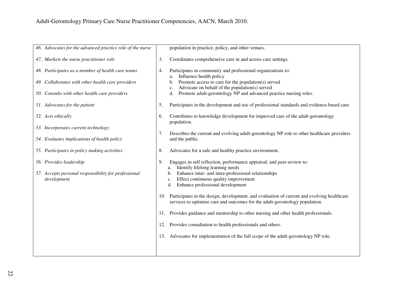| 46. Advocates for the advanced practice role of the nurse                                                                                                                                                                                                                                            | population in practice, policy, and other venues.                                                                                                                                                                                                                                                                                                                                                                                                                                                                                                                                                                                                                                                                |
|------------------------------------------------------------------------------------------------------------------------------------------------------------------------------------------------------------------------------------------------------------------------------------------------------|------------------------------------------------------------------------------------------------------------------------------------------------------------------------------------------------------------------------------------------------------------------------------------------------------------------------------------------------------------------------------------------------------------------------------------------------------------------------------------------------------------------------------------------------------------------------------------------------------------------------------------------------------------------------------------------------------------------|
| 47. Markets the nurse practitioner role                                                                                                                                                                                                                                                              | Coordinates comprehensive care in and across care settings.<br>3.                                                                                                                                                                                                                                                                                                                                                                                                                                                                                                                                                                                                                                                |
| 48. Participates as a member of health care teams<br>49. Collaborates with other health care providers<br>50. Consults with other health care providers<br>51. Advocates for the patient<br>52. Acts ethically<br>53. Incorporates current technology<br>54. Evaluates implications of health policy | Participates in community and professional organizations to:<br>4.<br>Influence health policy<br>a.<br>Promote access to care for the population(s) served<br>b.<br>Advocate on behalf of the population(s) served<br>c.<br>Promote adult-gerontology NP and advanced practice nursing roles.<br>d.<br>Participates in the development and use of professional standards and evidence-based care.<br>5.<br>Contributes to knowledge development for improved care of the adult-gerontology<br>6.<br>population.<br>Describes the current and evolving adult-gerontology NP role to other healthcare providers<br>7.<br>and the public.                                                                           |
| 55. Participates in policy making activities                                                                                                                                                                                                                                                         | Advocates for a safe and healthy practice environment.<br>8.                                                                                                                                                                                                                                                                                                                                                                                                                                                                                                                                                                                                                                                     |
| 56. Provides leadership<br>57. Accepts personal responsibility for professional<br>development                                                                                                                                                                                                       | Engages in self reflection, performance appraisal, and peer-review to:<br>9.<br>Identify lifelong learning needs<br>a.<br>Enhance inter- and intra-professional relationships<br>b.<br>Effect continuous quality improvement<br>c.<br>Enhance professional development<br>d.<br>10. Participates in the design, development, and evaluation of current and evolving healthcare<br>services to optimize care and outcomes for the adult-gerontology population.<br>11. Provides guidance and mentorship to other nursing and other health professionals.<br>12. Provides consultation to health professionals and others.<br>13. Advocates for implementation of the full scope of the adult-gerontology NP role. |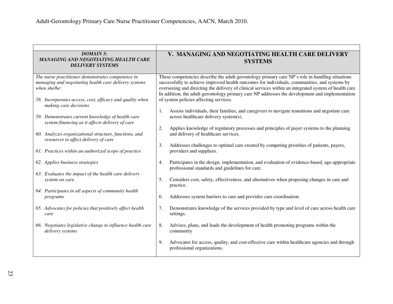| <b>DOMAIN 5:</b><br><b>MANAGING AND NEGOTIATING HEALTH CARE</b><br><b>DELIVERY SYSTEMS</b>                                                                                                                      | V. MANAGING AND NEGOTIATING HEALTH CARE DELIVERY<br><b>SYSTEMS</b>                                                                                                                                                                                                                                                                                                                                                                                      |
|-----------------------------------------------------------------------------------------------------------------------------------------------------------------------------------------------------------------|---------------------------------------------------------------------------------------------------------------------------------------------------------------------------------------------------------------------------------------------------------------------------------------------------------------------------------------------------------------------------------------------------------------------------------------------------------|
| The nurse practitioner demonstrates competence in<br>managing and negotiating health care delivery systems<br>when she/he:<br>58. Incorporates access, cost, efficacy and quality when<br>making care decisions | These competencies describe the adult-gerontology primary care NP's role in handling situations<br>successfully to achieve improved health outcomes for individuals, communities, and systems by<br>overseeing and directing the delivery of clinical services within an integrated system of health care.<br>In addition, the adult-gerontology primary care NP addresses the development and implementation<br>of system policies affecting services. |
| 59. Demonstrates current knowledge of health care<br>system financing as it affects delivery of care                                                                                                            | Assists individuals, their families, and caregivers to navigate transitions and negotiate care<br>1.<br>across healthcare delivery system(s).                                                                                                                                                                                                                                                                                                           |
| 60. Analyzes organizational structure, functions, and<br>resources to affect delivery of care                                                                                                                   | 2.<br>Applies knowledge of regulatory processes and principles of payer systems to the planning<br>and delivery of healthcare services.                                                                                                                                                                                                                                                                                                                 |
| 61. Practices within an authorized scope of practice                                                                                                                                                            | 3.<br>Addresses challenges to optimal care created by competing priorities of patients, payers,<br>providers and suppliers.                                                                                                                                                                                                                                                                                                                             |
| 62. Applies business strategies                                                                                                                                                                                 | Participates in the design, implementation, and evaluation of evidence-based, age-appropriate<br>4.<br>professional standards and guidelines for care.                                                                                                                                                                                                                                                                                                  |
| 63. Evaluates the impact of the health care delivery<br>system on care.                                                                                                                                         | 5.<br>Considers cost, safety, effectiveness, and alternatives when proposing changes in care and<br>practice.                                                                                                                                                                                                                                                                                                                                           |
| 64. Participates in all aspects of community health<br>programs                                                                                                                                                 | 6.<br>Addresses system barriers to care and provides care coordination.                                                                                                                                                                                                                                                                                                                                                                                 |
| 65. Advocates for policies that positively affect health<br>care                                                                                                                                                | Demonstrates knowledge of the services provided by type and level of care across health care<br>7.<br>settings.                                                                                                                                                                                                                                                                                                                                         |
| 66. Negotiates legislative change to influence health care<br>delivery systems                                                                                                                                  | Advises, plans, and leads the development of health promoting programs within the<br>8.<br>community                                                                                                                                                                                                                                                                                                                                                    |
|                                                                                                                                                                                                                 | 9.<br>Advocates for access, quality, and cost-effective care within healthcare agencies and through<br>professional organizations.                                                                                                                                                                                                                                                                                                                      |

<u> 1989 - Johann Stoff, amerikansk politiker (d. 1989)</u>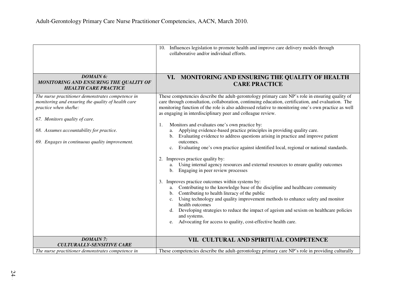|                                                                                                                                                                                                                                                                 | 10. Influences legislation to promote health and improve care delivery models through<br>collaborative and/or individual efforts.                                                                                                                                                                                                                                                                                                                                                                                                                                                                                                                                                                                                                                                                                                                                                                                                                                                                                                                                                                                                                                                                                                                                                                                                                                                                        |
|-----------------------------------------------------------------------------------------------------------------------------------------------------------------------------------------------------------------------------------------------------------------|----------------------------------------------------------------------------------------------------------------------------------------------------------------------------------------------------------------------------------------------------------------------------------------------------------------------------------------------------------------------------------------------------------------------------------------------------------------------------------------------------------------------------------------------------------------------------------------------------------------------------------------------------------------------------------------------------------------------------------------------------------------------------------------------------------------------------------------------------------------------------------------------------------------------------------------------------------------------------------------------------------------------------------------------------------------------------------------------------------------------------------------------------------------------------------------------------------------------------------------------------------------------------------------------------------------------------------------------------------------------------------------------------------|
| <b>DOMAIN 6:</b><br>MONITORING AND ENSURING THE QUALITY OF<br><b>HEALTH CARE PRACTICE</b>                                                                                                                                                                       | VI. MONITORING AND ENSURING THE QUALITY OF HEALTH<br><b>CARE PRACTICE</b>                                                                                                                                                                                                                                                                                                                                                                                                                                                                                                                                                                                                                                                                                                                                                                                                                                                                                                                                                                                                                                                                                                                                                                                                                                                                                                                                |
| The nurse practitioner demonstrates competence in<br>monitoring and ensuring the quality of health care<br>practice when she/he:<br>67. Monitors quality of care.<br>68. Assumes accountability for practice.<br>69. Engages in continuous quality improvement. | These competencies describe the adult-gerontology primary care NP's role in ensuring quality of<br>care through consultation, collaboration, continuing education, certification, and evaluation. The<br>monitoring function of the role is also addressed relative to monitoring one's own practice as well<br>as engaging in interdisciplinary peer and colleague review.<br>Monitors and evaluates one's own practice by:<br>1.<br>Applying evidence-based practice principles in providing quality care.<br>a.<br>Evaluating evidence to address questions arising in practice and improve patient<br>outcomes.<br>Evaluating one's own practice against identified local, regional or national standards.<br>c.<br>Improves practice quality by:<br>2.<br>Using internal agency resources and external resources to ensure quality outcomes<br>a.<br>Engaging in peer review processes<br>b.<br>Improves practice outcomes within systems by:<br>3.<br>Contributing to the knowledge base of the discipline and healthcare community<br>a.<br>Contributing to health literacy of the public<br>b.<br>Using technology and quality improvement methods to enhance safety and monitor<br>c.<br>health outcomes<br>Developing strategies to reduce the impact of ageism and sexism on healthcare policies<br>d.<br>and systems.<br>Advocating for access to quality, cost-effective health care.<br>e. |
| <b>DOMAIN 7:</b><br><b>CULTURALLY-SENSITIVE CARE</b>                                                                                                                                                                                                            | VII. CULTURAL AND SPIRITUAL COMPETENCE                                                                                                                                                                                                                                                                                                                                                                                                                                                                                                                                                                                                                                                                                                                                                                                                                                                                                                                                                                                                                                                                                                                                                                                                                                                                                                                                                                   |
| The nurse practitioner demonstrates competence in                                                                                                                                                                                                               | These competencies describe the adult-gerontology primary care NP's role in providing culturally                                                                                                                                                                                                                                                                                                                                                                                                                                                                                                                                                                                                                                                                                                                                                                                                                                                                                                                                                                                                                                                                                                                                                                                                                                                                                                         |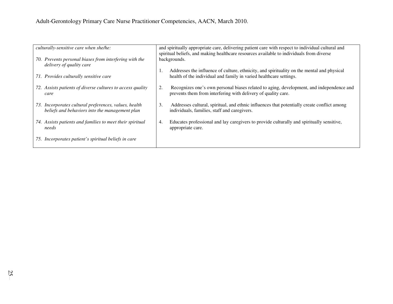| culturally-sensitive care when she/he:                                                                  | and spiritually appropriate care, delivering patient care with respect to individual cultural and<br>spiritual beliefs, and making healthcare resources available to individuals from diverse |
|---------------------------------------------------------------------------------------------------------|-----------------------------------------------------------------------------------------------------------------------------------------------------------------------------------------------|
| 70. Prevents personal biases from interfering with the<br>delivery of quality care                      | backgrounds.                                                                                                                                                                                  |
| 71. Provides culturally sensitive care                                                                  | Addresses the influence of culture, ethnicity, and spirituality on the mental and physical<br>health of the individual and family in varied healthcare settings.                              |
| 72. Assists patients of diverse cultures to access quality<br>care                                      | Recognizes one's own personal biases related to aging, development, and independence and<br>2.<br>prevents them from interfering with delivery of quality care.                               |
| 73. Incorporates cultural preferences, values, health<br>beliefs and behaviors into the management plan | Addresses cultural, spiritual, and ethnic influences that potentially create conflict among<br>3.<br>individuals, families, staff and caregivers.                                             |
| 74. Assists patients and families to meet their spiritual<br>needs                                      | Educates professional and lay caregivers to provide culturally and spiritually sensitive,<br>4.<br>appropriate care.                                                                          |
| 75. Incorporates patient's spiritual beliefs in care                                                    |                                                                                                                                                                                               |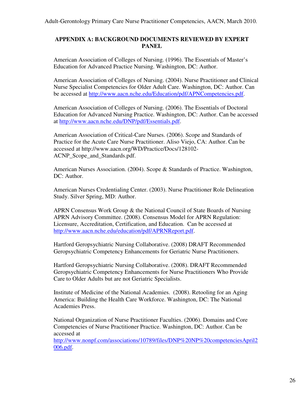## **APPENDIX A: BACKGROUND DOCUMENTS REVIEWED BY EXPERT PANEL**

American Association of Colleges of Nursing. (1996). The Essentials of Master's Education for Advanced Practice Nursing. Washington, DC: Author.

American Association of Colleges of Nursing. (2004). Nurse Practitioner and Clinical Nurse Specialist Competencies for Older Adult Care. Washington, DC: Author. Can be accessed at http://www.aacn.nche.edu/Education/pdf/APNCompetencies.pdf.

American Association of Colleges of Nursing. (2006). The Essentials of Doctoral Education for Advanced Nursing Practice. Washington, DC: Author. Can be accessed at http://www.aacn.nche.edu/DNP/pdf/Essentials.pdf.

American Association of Critical-Care Nurses. (2006). Scope and Standards of Practice for the Acute Care Nurse Practitioner. Aliso Viejo, CA: Author. Can be accessed at http://www.aacn.org/WD/Practice/Docs/128102- ACNP\_Scope\_and\_Standards.pdf.

American Nurses Association. (2004). Scope & Standards of Practice. Washington, DC: Author.

American Nurses Credentialing Center. (2003). Nurse Practitioner Role Delineation Study. Silver Spring, MD: Author.

APRN Consensus Work Group & the National Council of State Boards of Nursing APRN Advisory Committee. (2008). Consensus Model for APRN Regulation: Licensure, Accreditation, Certification, and Education. Can be accessed at http://www.aacn.nche.edu/education/pdf/APRNReport.pdf.

Hartford Geropsychiatric Nursing Collaborative. (2008) DRAFT Recommended Geropsychiatric Competency Enhancements for Geriatric Nurse Practitioners.

Hartford Geropsychiatric Nursing Collaborative. (2008). DRAFT Recommended Geropsychiatric Competency Enhancements for Nurse Practitioners Who Provide Care to Older Adults but are not Geriatric Specialists.

Institute of Medicine of the National Academies. (2008). Retooling for an Aging America: Building the Health Care Workforce. Washington, DC: The National Academies Press.

National Organization of Nurse Practitioner Faculties. (2006). Domains and Core Competencies of Nurse Practitioner Practice. Washington, DC: Author. Can be accessed at

http://www.nonpf.com/associations/10789/files/DNP%20NP%20competenciesApril2 006.pdf.